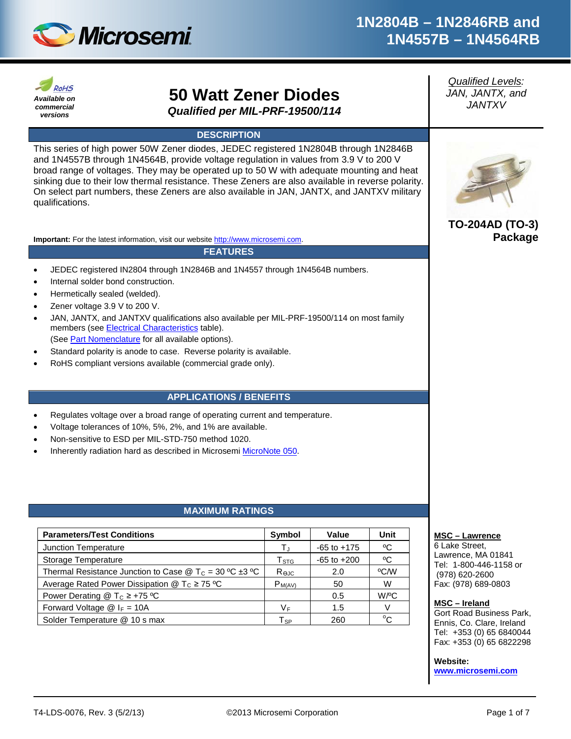



# **50 Watt Zener Diodes**

*Qualified per MIL-PRF-19500/114*

# **DESCRIPTION**

This series of high power 50W Zener diodes, JEDEC registered 1N2804B through 1N2846B and 1N4557B through 1N4564B, provide voltage regulation in values from 3.9 V to 200 V broad range of voltages. They may be operated up to 50 W with adequate mounting and heat sinking due to their low thermal resistance. These Zeners are also available in reverse polarity. On select part numbers, these Zeners are also available in JAN, JANTX, and JANTXV military qualifications.

**Important:** For the latest information, visit our website [http://www.microsemi.com.](http://www.microsemi.com/) **Package** 

#### **FEATURES**

- JEDEC registered IN2804 through 1N2846B and 1N4557 through 1N4564B numbers.
- Internal solder bond construction.
- Hermetically sealed (welded).
- Zener voltage 3.9 V to 200 V.
- JAN, JANTX, and JANTXV qualifications also available per MIL-PRF-19500/114 on most family members (see [Electrical Characteristics](#page-2-0) table). (See **Part Nomenclature** for all available options).
- Standard polarity is anode to case. Reverse polarity is available.
- RoHS compliant versions available (commercial grade only).

#### **APPLICATIONS / BENEFITS**

- Regulates voltage over a broad range of operating current and temperature.
- Voltage tolerances of 10%, 5%, 2%, and 1% are available.
- Non-sensitive to ESD per MIL-STD-750 method 1020.
- Inherently radiation hard as described in Microsemi [MicroNote 050.](http://www.microsemi.com/document-portal/doc_download/14631-radiation-hardened-performance-of-discrete-semis)

### **MAXIMUM RATINGS**

| <b>Parameters/Test Conditions</b>                                                       | Symbol                    | Value           | Unit        |
|-----------------------------------------------------------------------------------------|---------------------------|-----------------|-------------|
| Junction Temperature                                                                    | T,                        | $-65$ to $+175$ | °C          |
| Storage Temperature                                                                     | $\mathsf{T}_{\text{STG}}$ | $-65$ to $+200$ | $\rm ^{o}C$ |
| Thermal Resistance Junction to Case $\textcircled{2}$ T <sub>C</sub> = 30 °C $\pm$ 3 °C | Rejc                      | 2.0             | °C/W        |
| Average Rated Power Dissipation $@T_c \geq 75 °C$                                       | $P_{M(AV)}$               | 50              | W           |
| Power Derating $@TC \ge +75$ °C                                                         |                           | 0.5             | W/ºC        |
| Forward Voltage $@I_F = 10A$                                                            | VF                        | 1.5             | V           |
| Solder Temperature @ 10 s max                                                           | ${\sf T}_{\sf SP}$        | 260             | °C          |

## *Qualified Levels: JAN, JANTX, and JANTXV*



**TO-204AD (TO-3)** 

#### **MSC – Lawrence**

6 Lake Street, Lawrence, MA 01841 Tel: 1-800-446-1158 or (978) 620-2600 Fax: (978) 689-0803

#### **MSC – Ireland**

Gort Road Business Park, Ennis, Co. Clare, Ireland Tel: +353 (0) 65 6840044 Fax: +353 (0) 65 6822298

#### **Website:**

**[www.microsemi.com](http://www.microsemi.com/)**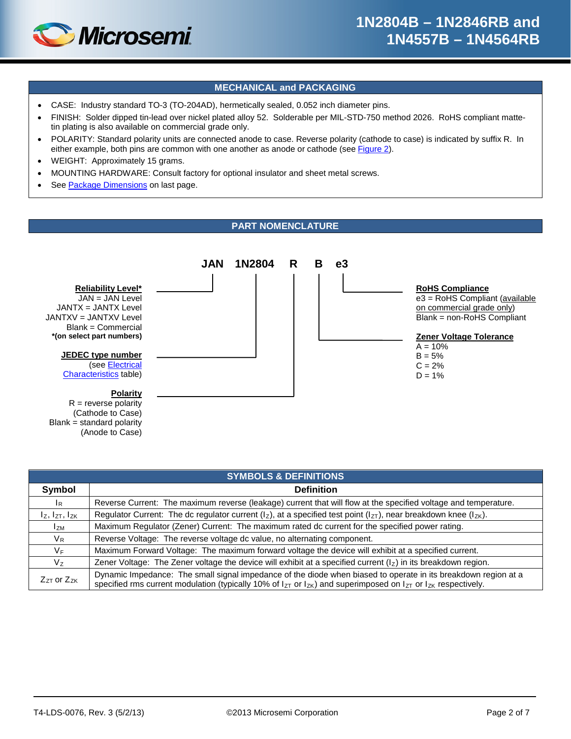

## **MECHANICAL and PACKAGING**

- CASE: Industry standard TO-3 (TO-204AD), hermetically sealed, 0.052 inch diameter pins.
- FINISH: Solder dipped tin-lead over nickel plated alloy 52. Solderable per MIL-STD-750 method 2026. RoHS compliant mattetin plating is also available on commercial grade only.
- POLARITY: Standard polarity units are connected anode to case. Reverse polarity (cathode to case) is indicated by suffix R. In either example, both pins are common with one another as anode or cathode (see [Figure 2\)](#page-5-0).
- WEIGHT: Approximately 15 grams.

(Anode to Case)

- MOUNTING HARDWARE: Consult factory for optional insulator and sheet metal screws.
- See [Package Dimensions](#page-6-0) on last page.

### **PART NOMENCLATURE**

<span id="page-1-0"></span>

| <b>SYMBOLS &amp; DEFINITIONS</b> |                                                                                                                                                                                                                                                    |  |  |
|----------------------------------|----------------------------------------------------------------------------------------------------------------------------------------------------------------------------------------------------------------------------------------------------|--|--|
| Symbol                           | <b>Definition</b>                                                                                                                                                                                                                                  |  |  |
| $\mathsf{I}_{\mathsf{R}}$        | Reverse Current: The maximum reverse (leakage) current that will flow at the specified voltage and temperature.                                                                                                                                    |  |  |
| $I_z$ , $I_{ZT}$ , $I_{ZK}$      | Regulator Current: The dc regulator current ( $I_z$ ), at a specified test point ( $I_{ZT}$ ), near breakdown knee ( $I_{ZK}$ ).                                                                                                                   |  |  |
| <b>I</b> <sub>ZM</sub>           | Maximum Regulator (Zener) Current: The maximum rated dc current for the specified power rating.                                                                                                                                                    |  |  |
| $V_{R}$                          | Reverse Voltage: The reverse voltage dc value, no alternating component.                                                                                                                                                                           |  |  |
| V <sub>F</sub>                   | Maximum Forward Voltage: The maximum forward voltage the device will exhibit at a specified current.                                                                                                                                               |  |  |
| V <sub>z</sub>                   | Zener Voltage: The Zener voltage the device will exhibit at a specified current $(l_z)$ in its breakdown region.                                                                                                                                   |  |  |
| $Z_{ZT}$ or $Z_{ZK}$             | Dynamic Impedance: The small signal impedance of the diode when biased to operate in its breakdown region at a<br>specified rms current modulation (typically 10% of $I_{ZT}$ or $I_{ZK}$ ) and superimposed on $I_{ZT}$ or $I_{ZK}$ respectively. |  |  |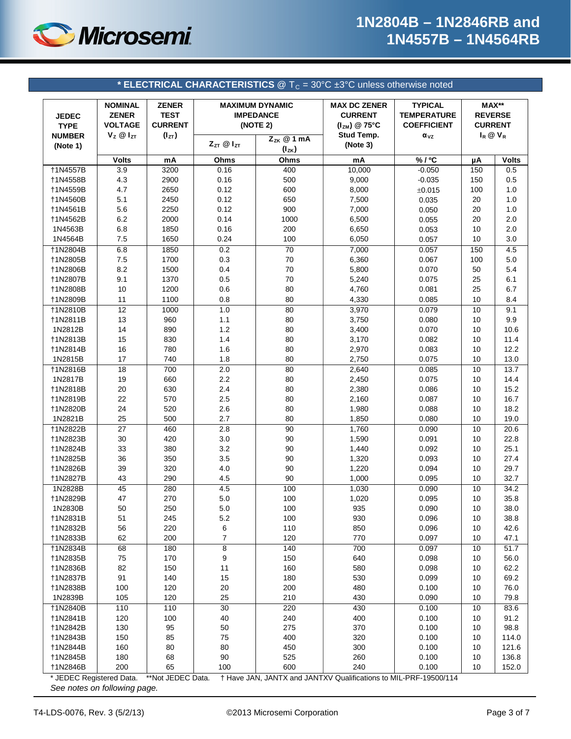

<span id="page-2-0"></span>

| * ELECTRICAL CHARACTERISTICS $\textcircled{ }T_{\text{C}}$ = 30°C ±3°C unless otherwise noted                     |                      |                |                                        |                 |                        |                    |                   |                |  |
|-------------------------------------------------------------------------------------------------------------------|----------------------|----------------|----------------------------------------|-----------------|------------------------|--------------------|-------------------|----------------|--|
|                                                                                                                   | <b>NOMINAL</b>       | <b>ZENER</b>   | <b>MAXIMUM DYNAMIC</b>                 |                 | <b>MAX DC ZENER</b>    | <b>TYPICAL</b>     | MAX**             |                |  |
| <b>JEDEC</b>                                                                                                      | <b>ZENER</b>         | <b>TEST</b>    | <b>IMPEDANCE</b>                       |                 | <b>CURRENT</b>         | <b>TEMPERATURE</b> |                   | <b>REVERSE</b> |  |
| <b>TYPE</b>                                                                                                       | <b>VOLTAGE</b>       | <b>CURRENT</b> | (NOTE 2)                               |                 | $(I_{ZM})$ @ 75°C      | <b>COEFFICIENT</b> | <b>CURRENT</b>    |                |  |
| <b>NUMBER</b>                                                                                                     | $V_z \otimes I_{ZT}$ | $(I_{ZT})$     | $Z_{ZK}$ @ 1 mA<br>$Z_{ZT}$ @ $I_{ZT}$ |                 | Stud Temp.<br>(Note 3) | $\alpha_{\nu z}$   | $I_R \otimes V_R$ |                |  |
| (Note 1)                                                                                                          |                      |                | $(I_{ZK})$                             |                 |                        |                    |                   |                |  |
|                                                                                                                   | <b>Volts</b>         | mA             | Ohms                                   | Ohms            | mA                     | %/°C               | μA                | <b>Volts</b>   |  |
| †1N4557B                                                                                                          | 3.9                  | 3200           | 0.16                                   | 400             | 10,000                 | $-0.050$           | 150               | 0.5            |  |
| †1N4558B                                                                                                          | 4.3                  | 2900           | 0.16<br>0.12                           | 500<br>600      | 9,000                  | $-0.035$           | 150               | 0.5            |  |
| †1N4559B<br><b>†1N4560B</b>                                                                                       | 4.7<br>5.1           | 2650<br>2450   | 0.12                                   | 650             | 8,000<br>7,500         | ±0.015<br>0.035    | 100<br>20         | 1.0<br>1.0     |  |
| †1N4561B                                                                                                          | 5.6                  | 2250           | 0.12                                   | 900             | 7,000                  | 0.050              | 20                | 1.0            |  |
| †1N4562B                                                                                                          | 6.2                  | 2000           | 0.14                                   | 1000            | 6,500                  | 0.055              | 20                | 2.0            |  |
| 1N4563B                                                                                                           | 6.8                  | 1850           | 0.16                                   | 200             | 6,650                  | 0.053              | 10                | 2.0            |  |
| 1N4564B                                                                                                           | 7.5                  | 1650           | 0.24                                   | 100             | 6,050                  | 0.057              | 10                | 3.0            |  |
| †1N2804B                                                                                                          | 6.8                  | 1850           | 0.2                                    | $\overline{70}$ | 7,000                  | 0.057              | 150               | 4.5            |  |
| †1N2805B                                                                                                          | 7.5                  | 1700           | 0.3                                    | 70              | 6,360                  | 0.067              | 100               | $5.0\,$        |  |
| †1N2806B                                                                                                          | 8.2                  | 1500           | 0.4                                    | 70              | 5,800                  | 0.070              | 50                | 5.4            |  |
| †1N2807B                                                                                                          | 9.1                  | 1370           | 0.5                                    | 70              | 5,240                  | 0.075              | 25                | 6.1            |  |
| <b>†1N2808B</b>                                                                                                   | 10                   | 1200           | 0.6                                    | 80              | 4,760                  | 0.081              | 25                | 6.7            |  |
| <b>†1N2809B</b>                                                                                                   | 11                   | 1100           | 0.8                                    | 80              | 4,330                  | 0.085              | 10                | 8.4            |  |
| †1N2810B                                                                                                          | 12                   | 1000           | 1.0                                    | 80              | 3,970                  | 0.079              | 10                | 9.1            |  |
| †1N2811B<br>1N2812B                                                                                               | 13<br>14             | 960            | 1.1<br>1.2                             | 80              | 3,750                  | 0.080<br>0.070     | 10<br>10          | 9.9            |  |
| †1N2813B                                                                                                          | 15                   | 890<br>830     | 1.4                                    | 80<br>80        | 3,400<br>3,170         | 0.082              | 10                | 10.6<br>11.4   |  |
| †1N2814B                                                                                                          | 16                   | 780            | 1.6                                    | 80              | 2,970                  | 0.083              | 10                | 12.2           |  |
| 1N2815B                                                                                                           | 17                   | 740            | 1.8                                    | 80              | 2,750                  | 0.075              | 10                | 13.0           |  |
| †1N2816B                                                                                                          | 18                   | 700            | 2.0                                    | 80              | 2,640                  | 0.085              | 10                | 13.7           |  |
| 1N2817B                                                                                                           | 19                   | 660            | 2.2                                    | 80              | 2,450                  | 0.075              | 10                | 14.4           |  |
| †1N2818B                                                                                                          | 20                   | 630            | 2.4                                    | 80              | 2,380                  | 0.086              | 10                | 15.2           |  |
| †1N2819B                                                                                                          | 22                   | 570            | 2.5                                    | 80              | 2,160                  | 0.087              | 10                | 16.7           |  |
| †1N2820B                                                                                                          | 24                   | 520            | 2.6                                    | 80              | 1,980                  | 0.088              | 10                | 18.2           |  |
| 1N2821B                                                                                                           | 25                   | 500            | 2.7                                    | 80              | 1,850                  | 0.080              | 10                | 19.0           |  |
| †1N2822B                                                                                                          | 27                   | 460            | 2.8                                    | 90              | 1,760                  | 0.090              | 10                | 20.6           |  |
| <b>†1N2823B</b>                                                                                                   | 30                   | 420            | 3.0                                    | 90              | 1,590                  | 0.091              | 10                | 22.8           |  |
| †1N2824B                                                                                                          | 33                   | 380            | 3.2                                    | 90              | 1,440                  | 0.092              | 10                | 25.1           |  |
| <b>†1N2825B</b><br>†1N2826B                                                                                       | 36<br>39             | 350<br>320     | 3.5<br>4.0                             | 90<br>90        | 1,320<br>1,220         | 0.093<br>0.094     | 10<br>10          | 27.4<br>29.7   |  |
| <b>†1N2827B</b>                                                                                                   | 43                   | 290            | 4.5                                    | 90              | 1,000                  | 0.095              | 10                | 32.7           |  |
| 1N2828B                                                                                                           | 45                   | 280            | 4.5                                    | 100             | 1,030                  | 0.090              | 10                | 34.2           |  |
| †1N2829B                                                                                                          | 47                   | 270            | 5.0                                    | 100             | 1,020                  | 0.095              | 10                | 35.8           |  |
| 1N2830B                                                                                                           | 50                   | 250            | 5.0                                    | 100             | 935                    | 0.090              | 10                | 38.0           |  |
| <b>†1N2831B</b>                                                                                                   | 51                   | 245            | 5.2                                    | 100             | 930                    | 0.096              | 10                | 38.8           |  |
| †1N2832B                                                                                                          | 56                   | 220            | 6                                      | 110             | 850                    | 0.096              | 10                | 42.6           |  |
| †1N2833B                                                                                                          | 62                   | 200            | 7                                      | 120             | 770                    | 0.097              | 10                | 47.1           |  |
| †1N2834B                                                                                                          | 68                   | 180            | 8                                      | 140             | 700                    | 0.097              | 10                | 51.7           |  |
| †1N2835B                                                                                                          | ${\bf 75}$           | 170            | 9                                      | 150             | 640                    | 0.098              | 10                | 56.0           |  |
| <b>†1N2836B</b>                                                                                                   | 82                   | 150            | 11                                     | 160             | 580                    | 0.098              | 10                | 62.2           |  |
| <b>†1N2837B</b>                                                                                                   | 91                   | 140            | 15                                     | 180             | 530                    | 0.099              | 10                | 69.2           |  |
| <b>†1N2838B</b><br>1N2839B                                                                                        | 100<br>105           | 120<br>120     | 20<br>25                               | 200<br>210      | 480<br>430             | 0.100<br>0.090     | 10<br>10          | 76.0<br>79.8   |  |
| †1N2840B                                                                                                          | 110                  | 110            | 30                                     | 220             | 430                    | 0.100              | 10                | 83.6           |  |
| †1N2841B                                                                                                          | 120                  | 100            | 40                                     | 240             | 400                    | 0.100              | 10                | 91.2           |  |
| †1N2842B                                                                                                          | 130                  | 95             | 50                                     | 275             | 370                    | 0.100              | 10                | 98.8           |  |
| †1N2843B                                                                                                          | 150                  | 85             | 75                                     | 400             | 320                    | 0.100              | 10                | 114.0          |  |
| †1N2844B                                                                                                          | 160                  | 80             | 80                                     | 450             | 300                    | 0.100              | 10                | 121.6          |  |
| <b>†1N2845B</b>                                                                                                   | 180                  | 68             | 90                                     | 525             | 260                    | 0.100              | 10                | 136.8          |  |
| <b>†1N2846B</b>                                                                                                   | 200                  | 65             | 100                                    | 600             | 240                    | 0.100              | 10                | 152.0          |  |
| † Have JAN, JANTX and JANTXV Qualifications to MIL-PRF-19500/114<br>* JEDEC Registered Data.<br>**Not JEDEC Data. |                      |                |                                        |                 |                        |                    |                   |                |  |

*See notes on following page.*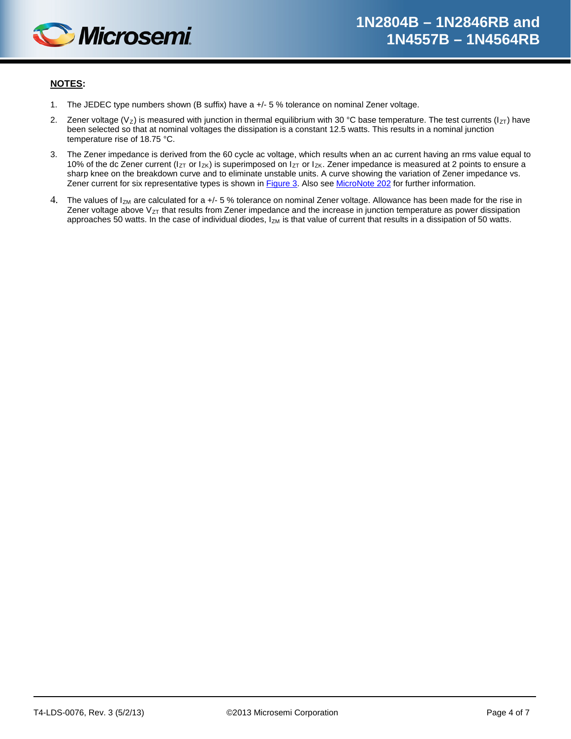

#### **NOTES:**

- 1. The JEDEC type numbers shown (B suffix) have a +/- 5 % tolerance on nominal Zener voltage.
- 2. Zener voltage ( $V_Z$ ) is measured with junction in thermal equilibrium with 30 °C base temperature. The test currents ( $I_{ZT}$ ) have been selected so that at nominal voltages the dissipation is a constant 12.5 watts. This results in a nominal junction temperature rise of 18.75 °C.
- 3. The Zener impedance is derived from the 60 cycle ac voltage, which results when an ac current having an rms value equal to 10% of the dc Zener current ( $I_{ZT}$  or  $I_{ZK}$ ) is superimposed on  $I_{ZT}$  or  $I_{ZK}$ . Zener impedance is measured at 2 points to ensure a sharp knee on the breakdown curve and to eliminate unstable units. A curve showing the variation of Zener impedance vs. Zener current for six representative types is shown i[n Figure 3.](#page-5-1) Also se[e MicroNote 202](http://www.microsemi.com/document-portal/doc_download/14614-zener-voltage-regulation-with-current) for further information.
- 4. The values of  $I_{ZM}$  are calculated for a +/- 5 % tolerance on nominal Zener voltage. Allowance has been made for the rise in Zener voltage above  $V_{ZT}$  that results from Zener impedance and the increase in junction temperature as power dissipation approaches 50 watts. In the case of individual diodes,  $I_{ZM}$  is that value of current that results in a dissipation of 50 watts.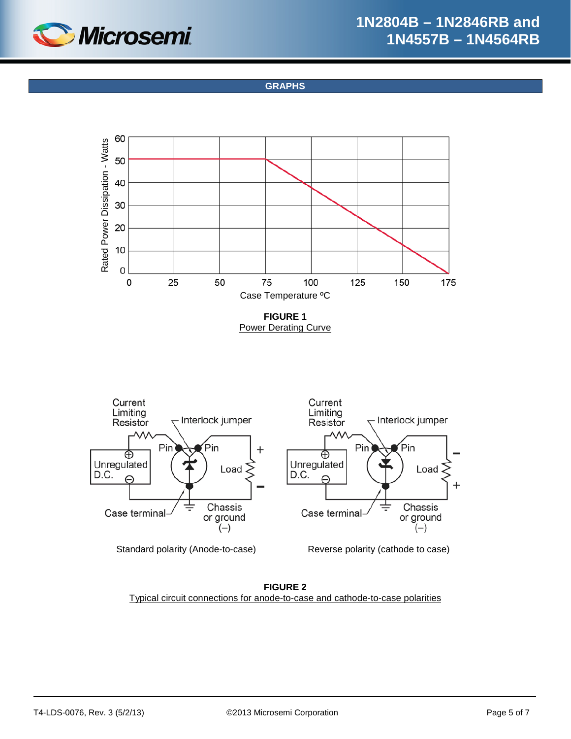

**GRAPHS**



**FIGURE 2** Typical circuit connections for anode-to-case and cathode-to-case polarities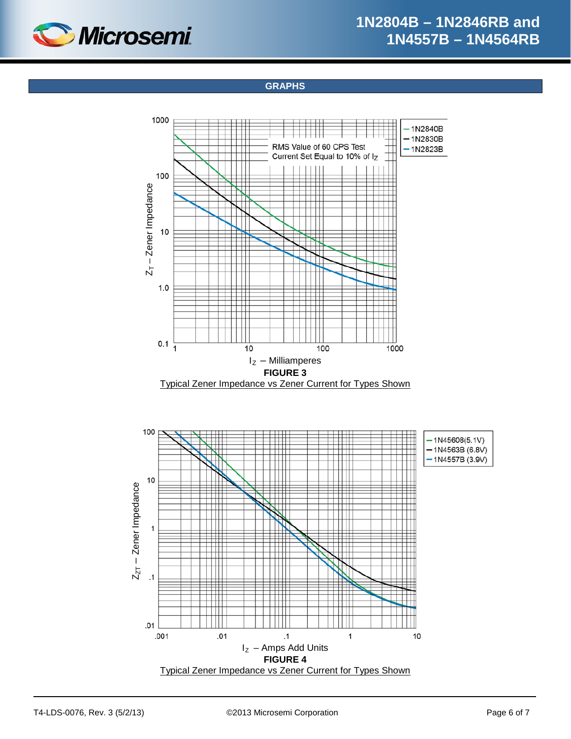<span id="page-5-0"></span>

**GRAPHS**

<span id="page-5-1"></span>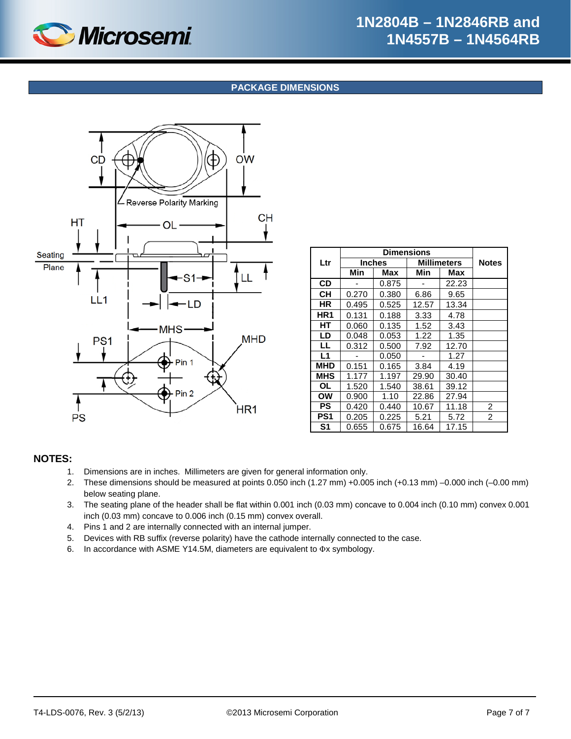

# **1N2804B – 1N2846RB and 1N4557B – 1N4564RB**

# **PACKAGE DIMENSIONS**

<span id="page-6-0"></span>

| Ltr             | <b>Inches</b> |       | <b>Millimeters</b> | <b>Notes</b> |                |
|-----------------|---------------|-------|--------------------|--------------|----------------|
|                 | Min           | Max   | Min                | Max          |                |
| <b>CD</b>       |               | 0.875 |                    | 22.23        |                |
| CН              | 0.270         | 0.380 | 6.86               | 9.65         |                |
| HR              | 0.495         | 0.525 | 12.57              | 13.34        |                |
| HR <sub>1</sub> | 0.131         | 0.188 | 3.33               | 4.78         |                |
| HТ              | 0.060         | 0.135 | 1.52               | 3.43         |                |
| LD              | 0.048         | 0.053 | 1.22               | 1.35         |                |
| LL              | 0.312         | 0.500 | 7.92               | 12.70        |                |
| L1              |               | 0.050 |                    | 1.27         |                |
| <b>MHD</b>      | 0.151         | 0.165 | 3.84               | 4.19         |                |
| <b>MHS</b>      | 1.177         | 1.197 | 29.90              | 30.40        |                |
| <b>OL</b>       | 1.520         | 1.540 | 38.61              | 39.12        |                |
| ΟW              | 0.900         | 1.10  | 22.86              | 27.94        |                |
| PS              | 0.420         | 0.440 | 10.67              | 11.18        | 2              |
| PS1             | 0.205         | 0.225 | 5.21               | 5.72         | $\overline{2}$ |
| S1              | 0.655         | 0.675 | 16.64              | 17.15        |                |

#### **NOTES:**

- 1. Dimensions are in inches. Millimeters are given for general information only.
- 2. These dimensions should be measured at points 0.050 inch (1.27 mm) +0.005 inch (+0.13 mm) –0.000 inch (–0.00 mm) below seating plane.
- 3. The seating plane of the header shall be flat within 0.001 inch (0.03 mm) concave to 0.004 inch (0.10 mm) convex 0.001 inch (0.03 mm) concave to 0.006 inch (0.15 mm) convex overall.
- 4. Pins 1 and 2 are internally connected with an internal jumper.
- 5. Devices with RB suffix (reverse polarity) have the cathode internally connected to the case.
- 6. In accordance with ASME Y14.5M, diameters are equivalent to Φx symbology.